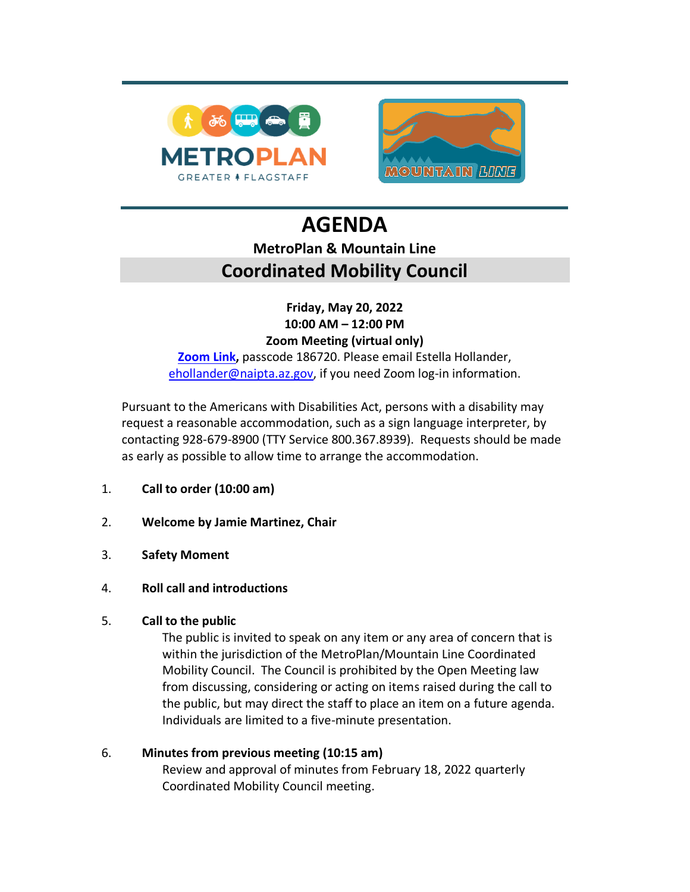

# **AGENDA MetroPlan & Mountain Line Coordinated Mobility Council**

### **Friday, May 20, 2022 10:00 AM – 12:00 PM Zoom Meeting (virtual only)**

**[Zoom](https://mountainline-az.zoom.us/j/84118647359?pwd=R2Rpc3orSjI0RnNWOC94S3hqSDZRdz09) Link,** passcode 186720. Please email Estella Hollander, [ehollander@naipta.az.gov,](mailto:ehollander@naipta.az.gov) if you need Zoom log-in information.

Pursuant to the Americans with Disabilities Act, persons with a disability may request a reasonable accommodation, such as a sign language interpreter, by contacting 928-679-8900 (TTY Service 800.367.8939). Requests should be made as early as possible to allow time to arrange the accommodation.

- 1. **Call to order (10:00 am)**
- 2. **Welcome by Jamie Martinez, Chair**
- 3. **Safety Moment**
- 4. **Roll call and introductions**

#### 5. **Call to the public**

The public is invited to speak on any item or any area of concern that is within the jurisdiction of the MetroPlan/Mountain Line Coordinated Mobility Council. The Council is prohibited by the Open Meeting law from discussing, considering or acting on items raised during the call to the public, but may direct the staff to place an item on a future agenda. Individuals are limited to a five-minute presentation.

#### 6. **Minutes from previous meeting (10:15 am)** Review and approval of minutes from February 18, 2022 quarterly Coordinated Mobility Council meeting.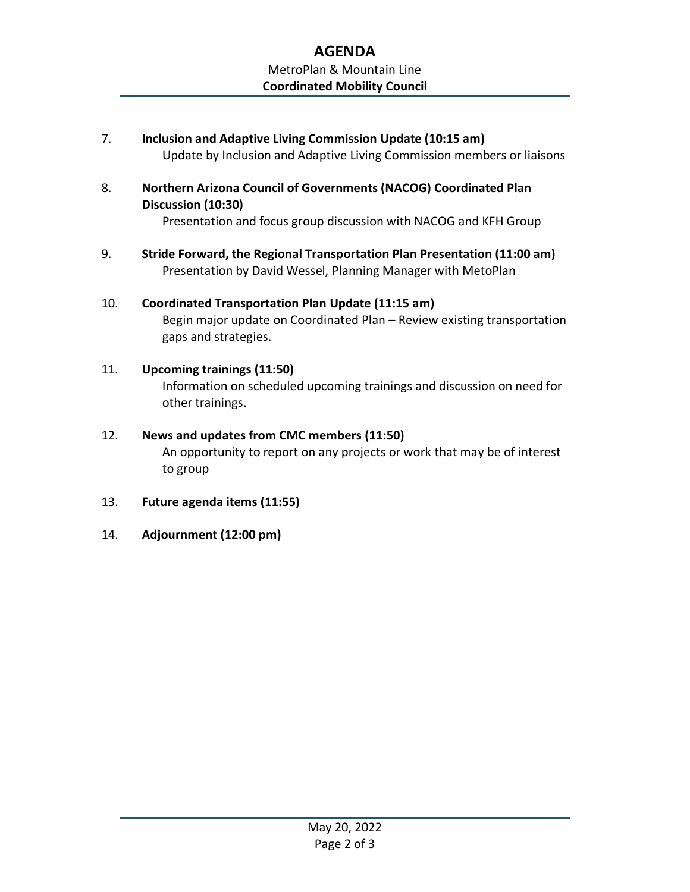## **AGENDA** MetroPlan & Mountain Line **Coordinated Mobility Council**

- 7. **Inclusion and Adaptive Living Commission Update (10:15 am)** Update by Inclusion and Adaptive Living Commission members or liaisons
- 8. **Northern Arizona Council of Governments (NACOG) Coordinated Plan Discussion (10:30)**

Presentation and focus group discussion with NACOG and KFH Group

- 9. **Stride Forward, the Regional Transportation Plan Presentation (11:00 am)** Presentation by David Wessel, Planning Manager with MetoPlan
- 10. **Coordinated Transportation Plan Update (11:15 am)** Begin major update on Coordinated Plan – Review existing transportation gaps and strategies.
- 11. **Upcoming trainings (11:50)** Information on scheduled upcoming trainings and discussion on need for other trainings.
- 12. **News and updates from CMC members (11:50)** An opportunity to report on any projects or work that may be of interest to group
- 13. **Future agenda items (11:55)**
- 14. **Adjournment (12:00 pm)**